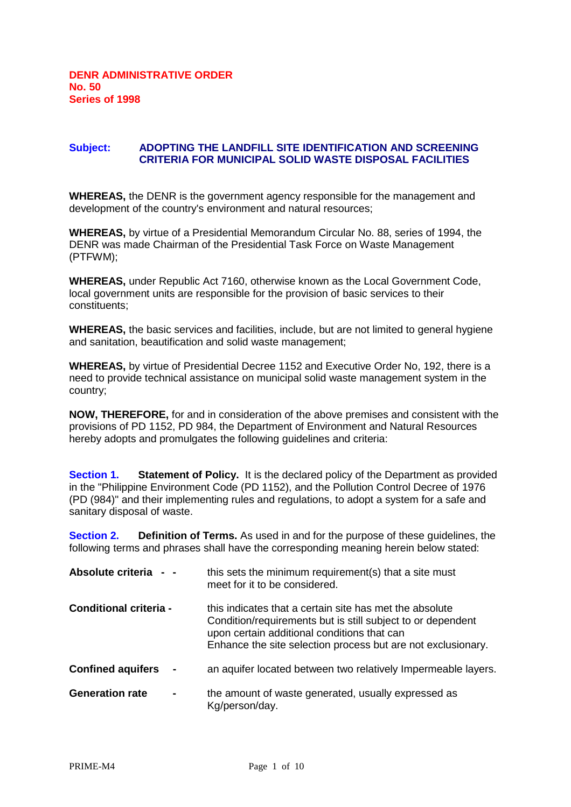## **Subject: ADOPTING THE LANDFILL SITE IDENTIFICATION AND SCREENING CRITERIA FOR MUNICIPAL SOLID WASTE DISPOSAL FACILITIES**

**WHEREAS,** the DENR is the government agency responsible for the management and development of the country's environment and natural resources;

**WHEREAS,** by virtue of a Presidential Memorandum Circular No. 88, series of 1994, the DENR was made Chairman of the Presidential Task Force on Waste Management (PTFWM);

**WHEREAS,** under Republic Act 7160, otherwise known as the Local Government Code, local government units are responsible for the provision of basic services to their constituents;

**WHEREAS,** the basic services and facilities, include, but are not limited to general hygiene and sanitation, beautification and solid waste management;

**WHEREAS,** by virtue of Presidential Decree 1152 and Executive Order No, 192, there is a need to provide technical assistance on municipal solid waste management system in the country;

**NOW, THEREFORE,** for and in consideration of the above premises and consistent with the provisions of PD 1152, PD 984, the Department of Environment and Natural Resources hereby adopts and promulgates the following guidelines and criteria:

**Section 1.** Statement of Policy. It is the declared policy of the Department as provided in the "Philippine Environment Code (PD 1152), and the Pollution Control Decree of 1976 (PD (984)" and their implementing rules and regulations, to adopt a system for a safe and sanitary disposal of waste.

**Section 2. Definition of Terms.** As used in and for the purpose of these guidelines, the following terms and phrases shall have the corresponding meaning herein below stated:

| Absolute criteria                        | this sets the minimum requirement(s) that a site must<br>meet for it to be considered.                                                                                                                                                |
|------------------------------------------|---------------------------------------------------------------------------------------------------------------------------------------------------------------------------------------------------------------------------------------|
| <b>Conditional criteria -</b>            | this indicates that a certain site has met the absolute<br>Condition/requirements but is still subject to or dependent<br>upon certain additional conditions that can<br>Enhance the site selection process but are not exclusionary. |
| <b>Confined aquifers</b><br>$\sim$       | an aquifer located between two relatively Impermeable layers.                                                                                                                                                                         |
| <b>Generation rate</b><br>$\blacksquare$ | the amount of waste generated, usually expressed as<br>Kg/person/day.                                                                                                                                                                 |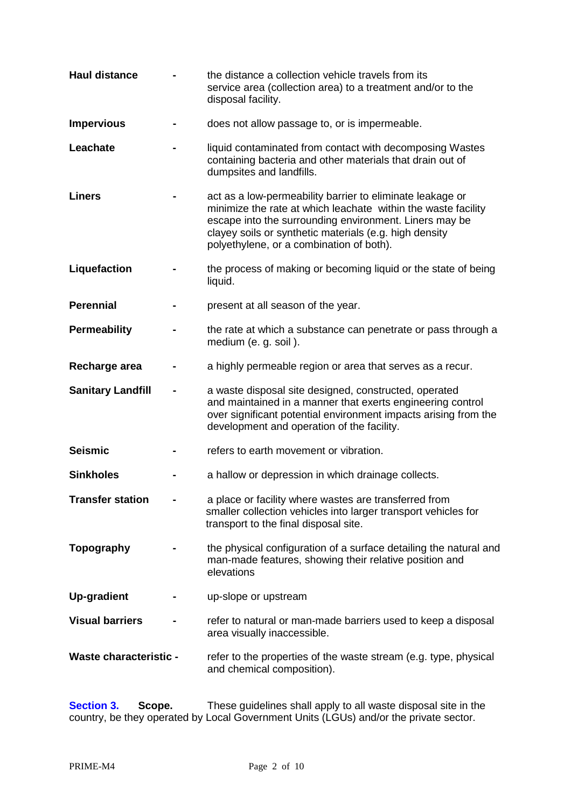| <b>Haul distance</b>          | the distance a collection vehicle travels from its<br>service area (collection area) to a treatment and/or to the<br>disposal facility.                                                                                                                                                    |
|-------------------------------|--------------------------------------------------------------------------------------------------------------------------------------------------------------------------------------------------------------------------------------------------------------------------------------------|
| <b>Impervious</b>             | does not allow passage to, or is impermeable.                                                                                                                                                                                                                                              |
| Leachate                      | liquid contaminated from contact with decomposing Wastes<br>containing bacteria and other materials that drain out of<br>dumpsites and landfills.                                                                                                                                          |
| <b>Liners</b>                 | act as a low-permeability barrier to eliminate leakage or<br>minimize the rate at which leachate within the waste facility<br>escape into the surrounding environment. Liners may be<br>clayey soils or synthetic materials (e.g. high density<br>polyethylene, or a combination of both). |
| Liquefaction                  | the process of making or becoming liquid or the state of being<br>liquid.                                                                                                                                                                                                                  |
| <b>Perennial</b>              | present at all season of the year.                                                                                                                                                                                                                                                         |
| <b>Permeability</b>           | the rate at which a substance can penetrate or pass through a<br>medium (e. g. soil).                                                                                                                                                                                                      |
| Recharge area                 | a highly permeable region or area that serves as a recur.                                                                                                                                                                                                                                  |
| <b>Sanitary Landfill</b>      | a waste disposal site designed, constructed, operated<br>and maintained in a manner that exerts engineering control<br>over significant potential environment impacts arising from the<br>development and operation of the facility.                                                       |
| <b>Seismic</b>                | refers to earth movement or vibration.                                                                                                                                                                                                                                                     |
| <b>Sinkholes</b>              | a hallow or depression in which drainage collects.                                                                                                                                                                                                                                         |
| Transfer station              | a place or facility where wastes are transferred from<br>smaller collection vehicles into larger transport vehicles for<br>transport to the final disposal site.                                                                                                                           |
| Topography                    | the physical configuration of a surface detailing the natural and<br>man-made features, showing their relative position and<br>elevations                                                                                                                                                  |
| <b>Up-gradient</b>            | up-slope or upstream                                                                                                                                                                                                                                                                       |
| <b>Visual barriers</b>        | refer to natural or man-made barriers used to keep a disposal<br>area visually inaccessible.                                                                                                                                                                                               |
| <b>Waste characteristic -</b> | refer to the properties of the waste stream (e.g. type, physical<br>and chemical composition).                                                                                                                                                                                             |

**Section 3. Scope.** These guidelines shall apply to all waste disposal site in the country, be they operated by Local Government Units (LGUs) and/or the private sector.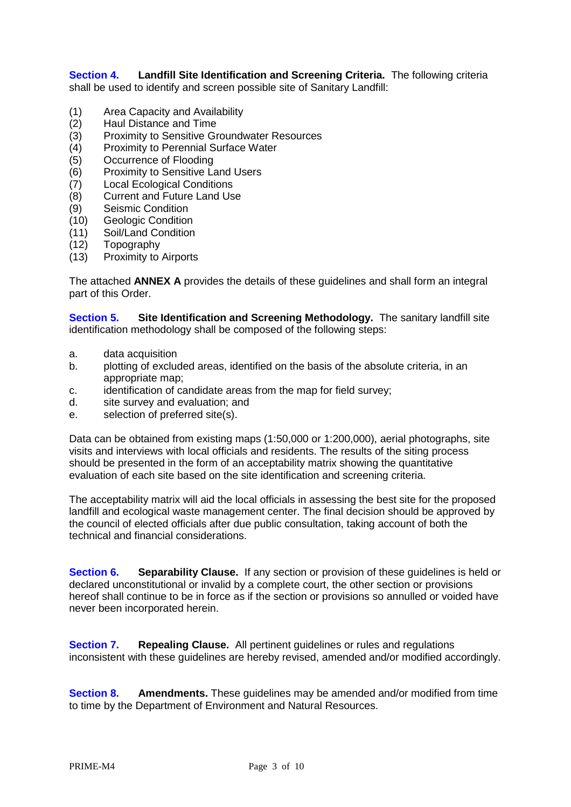**Section 4. Landfill Site Identification and Screening Criteria.** The following criteria shall be used to identify and screen possible site of Sanitary Landfill:

- (1) Area Capacity and Availability
- (2) Haul Distance and Time
- (3) Proximity to Sensitive Groundwater Resources
- (4) Proximity to Perennial Surface Water
- (5) Occurrence of Flooding
- (6) Proximity to Sensitive Land Users
- (7) Local Ecological Conditions
- (8) Current and Future Land Use
- (9) Seismic Condition
- (10) Geologic Condition
- (11) Soil/Land Condition
- (12) Topography
- (13) Proximity to Airports

The attached **ANNEX A** provides the details of these guidelines and shall form an integral part of this Order.

**Section 5.** Site Identification and Screening Methodology. The sanitary landfill site identification methodology shall be composed of the following steps:

- a. data acquisition
- b. plotting of excluded areas, identified on the basis of the absolute criteria, in an appropriate map;
- c. identification of candidate areas from the map for field survey;
- d. site survey and evaluation; and
- e. selection of preferred site(s).

Data can be obtained from existing maps (1:50,000 or 1:200,000), aerial photographs, site visits and interviews with local officials and residents. The results of the siting process should be presented in the form of an acceptability matrix showing the quantitative evaluation of each site based on the site identification and screening criteria.

The acceptability matrix will aid the local officials in assessing the best site for the proposed landfill and ecological waste management center. The final decision should be approved by the council of elected officials after due public consultation, taking account of both the technical and financial considerations.

**Section 6. Separability Clause.** If any section or provision of these guidelines is held or declared unconstitutional or invalid by a complete court, the other section or provisions hereof shall continue to be in force as if the section or provisions so annulled or voided have never been incorporated herein.

**Section 7. Repealing Clause.** All pertinent guidelines or rules and regulations inconsistent with these guidelines are hereby revised, amended and/or modified accordingly.

**Section 8. Amendments.** These guidelines may be amended and/or modified from time to time by the Department of Environment and Natural Resources.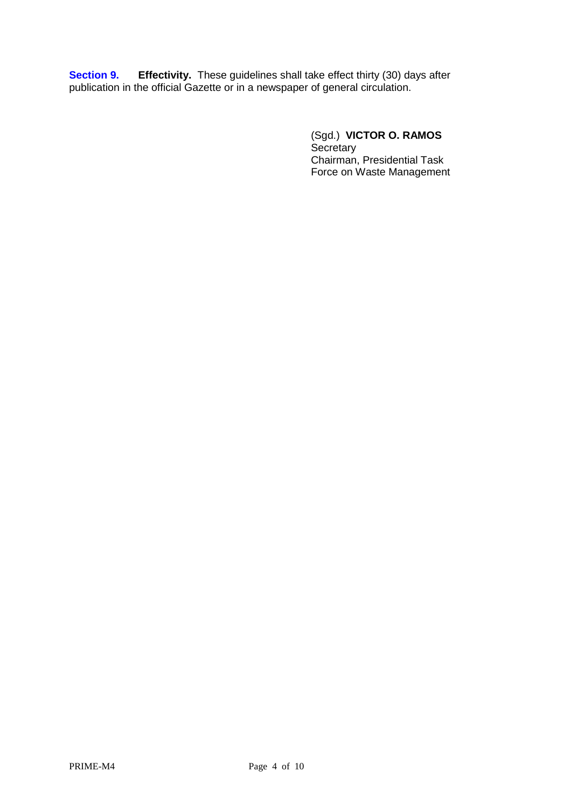**Section 9.** Effectivity. These guidelines shall take effect thirty (30) days after publication in the official Gazette or in a newspaper of general circulation.

> (Sgd.) **VICTOR O. RAMOS Secretary** Chairman, Presidential Task Force on Waste Management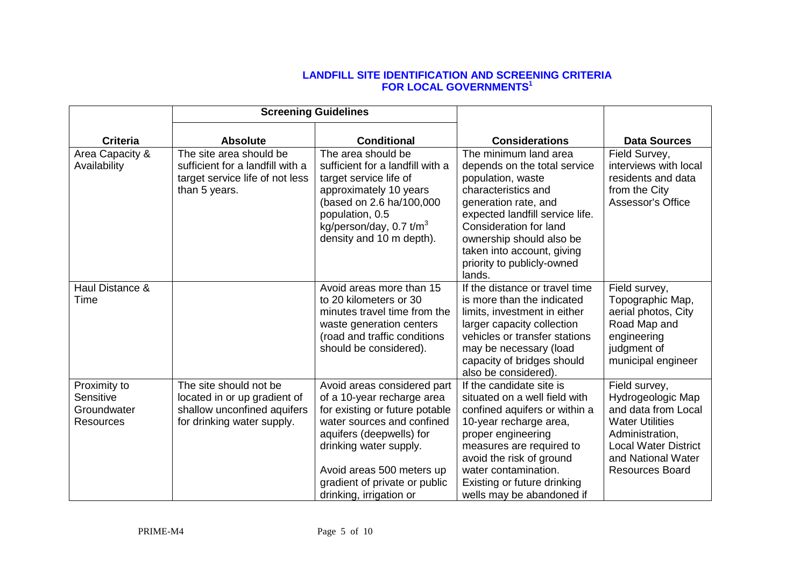## **LANDFILL SITE IDENTIFICATION AND SCREENING CRITERIA FOR LOCAL GOVERNMENTS<sup>1</sup>**

|                                                       |                                                                                                                     | <b>Screening Guidelines</b>                                                                                                                                                                                                                                              |                                                                                                                                                                                                                                                                                          |                                                                                                                                                                                       |
|-------------------------------------------------------|---------------------------------------------------------------------------------------------------------------------|--------------------------------------------------------------------------------------------------------------------------------------------------------------------------------------------------------------------------------------------------------------------------|------------------------------------------------------------------------------------------------------------------------------------------------------------------------------------------------------------------------------------------------------------------------------------------|---------------------------------------------------------------------------------------------------------------------------------------------------------------------------------------|
| <b>Criteria</b>                                       | <b>Absolute</b>                                                                                                     | <b>Conditional</b>                                                                                                                                                                                                                                                       | <b>Considerations</b>                                                                                                                                                                                                                                                                    | <b>Data Sources</b>                                                                                                                                                                   |
| Area Capacity &<br>Availability                       | The site area should be<br>sufficient for a landfill with a<br>target service life of not less<br>than 5 years.     | The area should be<br>sufficient for a landfill with a<br>target service life of<br>approximately 10 years<br>(based on 2.6 ha/100,000<br>population, 0.5<br>kg/person/day, $0.7$ t/m <sup>3</sup><br>density and 10 m depth).                                           | The minimum land area<br>depends on the total service<br>population, waste<br>characteristics and<br>generation rate, and<br>expected landfill service life.<br>Consideration for land<br>ownership should also be<br>taken into account, giving<br>priority to publicly-owned<br>lands. | Field Survey,<br>interviews with local<br>residents and data<br>from the City<br>Assessor's Office                                                                                    |
| Haul Distance &<br>Time                               |                                                                                                                     | Avoid areas more than 15<br>to 20 kilometers or 30<br>minutes travel time from the<br>waste generation centers<br>(road and traffic conditions<br>should be considered).                                                                                                 | If the distance or travel time<br>is more than the indicated<br>limits, investment in either<br>larger capacity collection<br>vehicles or transfer stations<br>may be necessary (load<br>capacity of bridges should<br>also be considered).                                              | Field survey,<br>Topographic Map,<br>aerial photos, City<br>Road Map and<br>engineering<br>judgment of<br>municipal engineer                                                          |
| Proximity to<br>Sensitive<br>Groundwater<br>Resources | The site should not be<br>located in or up gradient of<br>shallow unconfined aquifers<br>for drinking water supply. | Avoid areas considered part<br>of a 10-year recharge area<br>for existing or future potable<br>water sources and confined<br>aquifers (deepwells) for<br>drinking water supply.<br>Avoid areas 500 meters up<br>gradient of private or public<br>drinking, irrigation or | If the candidate site is<br>situated on a well field with<br>confined aquifers or within a<br>10-year recharge area,<br>proper engineering<br>measures are required to<br>avoid the risk of ground<br>water contamination.<br>Existing or future drinking<br>wells may be abandoned if   | Field survey,<br>Hydrogeologic Map<br>and data from Local<br><b>Water Utilities</b><br>Administration,<br><b>Local Water District</b><br>and National Water<br><b>Resources Board</b> |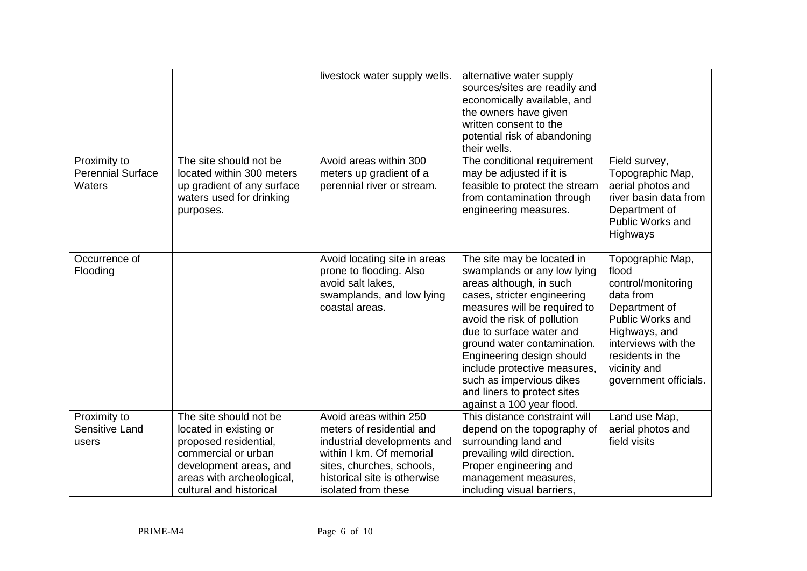|                                                    |                                                                                                                                                                                    | livestock water supply wells.                                                                                                                                                                      | alternative water supply<br>sources/sites are readily and<br>economically available, and<br>the owners have given<br>written consent to the<br>potential risk of abandoning<br>their wells.                                                                                                                                                                                                        |                                                                                                                                                                                                        |
|----------------------------------------------------|------------------------------------------------------------------------------------------------------------------------------------------------------------------------------------|----------------------------------------------------------------------------------------------------------------------------------------------------------------------------------------------------|----------------------------------------------------------------------------------------------------------------------------------------------------------------------------------------------------------------------------------------------------------------------------------------------------------------------------------------------------------------------------------------------------|--------------------------------------------------------------------------------------------------------------------------------------------------------------------------------------------------------|
| Proximity to<br><b>Perennial Surface</b><br>Waters | The site should not be<br>located within 300 meters<br>up gradient of any surface<br>waters used for drinking<br>purposes.                                                         | Avoid areas within 300<br>meters up gradient of a<br>perennial river or stream.                                                                                                                    | The conditional requirement<br>may be adjusted if it is<br>feasible to protect the stream<br>from contamination through<br>engineering measures.                                                                                                                                                                                                                                                   | Field survey,<br>Topographic Map,<br>aerial photos and<br>river basin data from<br>Department of<br>Public Works and<br>Highways                                                                       |
| Occurrence of<br>Flooding                          |                                                                                                                                                                                    | Avoid locating site in areas<br>prone to flooding. Also<br>avoid salt lakes,<br>swamplands, and low lying<br>coastal areas.                                                                        | The site may be located in<br>swamplands or any low lying<br>areas although, in such<br>cases, stricter engineering<br>measures will be required to<br>avoid the risk of pollution<br>due to surface water and<br>ground water contamination.<br>Engineering design should<br>include protective measures,<br>such as impervious dikes<br>and liners to protect sites<br>against a 100 year flood. | Topographic Map,<br>flood<br>control/monitoring<br>data from<br>Department of<br>Public Works and<br>Highways, and<br>interviews with the<br>residents in the<br>vicinity and<br>government officials. |
| Proximity to<br><b>Sensitive Land</b><br>users     | The site should not be<br>located in existing or<br>proposed residential,<br>commercial or urban<br>development areas, and<br>areas with archeological,<br>cultural and historical | Avoid areas within 250<br>meters of residential and<br>industrial developments and<br>within I km. Of memorial<br>sites, churches, schools,<br>historical site is otherwise<br>isolated from these | This distance constraint will<br>depend on the topography of<br>surrounding land and<br>prevailing wild direction.<br>Proper engineering and<br>management measures,<br>including visual barriers,                                                                                                                                                                                                 | Land use Map,<br>aerial photos and<br>field visits                                                                                                                                                     |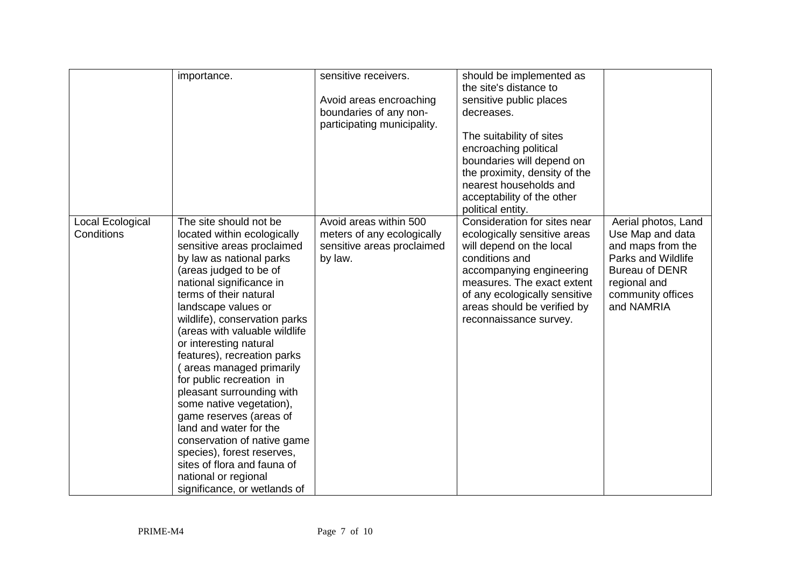|                  | importance.                   | sensitive receivers.        | should be implemented as      |                       |
|------------------|-------------------------------|-----------------------------|-------------------------------|-----------------------|
|                  |                               |                             | the site's distance to        |                       |
|                  |                               | Avoid areas encroaching     | sensitive public places       |                       |
|                  |                               | boundaries of any non-      | decreases.                    |                       |
|                  |                               | participating municipality. |                               |                       |
|                  |                               |                             | The suitability of sites      |                       |
|                  |                               |                             | encroaching political         |                       |
|                  |                               |                             | boundaries will depend on     |                       |
|                  |                               |                             | the proximity, density of the |                       |
|                  |                               |                             | nearest households and        |                       |
|                  |                               |                             | acceptability of the other    |                       |
|                  |                               |                             | political entity.             |                       |
| Local Ecological | The site should not be        | Avoid areas within 500      | Consideration for sites near  | Aerial photos, Land   |
| Conditions       | located within ecologically   | meters of any ecologically  | ecologically sensitive areas  | Use Map and data      |
|                  | sensitive areas proclaimed    | sensitive areas proclaimed  | will depend on the local      | and maps from the     |
|                  | by law as national parks      | by law.                     | conditions and                | Parks and Wildlife    |
|                  | (areas judged to be of        |                             | accompanying engineering      | <b>Bureau of DENR</b> |
|                  | national significance in      |                             | measures. The exact extent    | regional and          |
|                  | terms of their natural        |                             | of any ecologically sensitive | community offices     |
|                  | landscape values or           |                             | areas should be verified by   | and NAMRIA            |
|                  | wildlife), conservation parks |                             | reconnaissance survey.        |                       |
|                  | (areas with valuable wildlife |                             |                               |                       |
|                  | or interesting natural        |                             |                               |                       |
|                  | features), recreation parks   |                             |                               |                       |
|                  | areas managed primarily       |                             |                               |                       |
|                  | for public recreation in      |                             |                               |                       |
|                  | pleasant surrounding with     |                             |                               |                       |
|                  | some native vegetation),      |                             |                               |                       |
|                  | game reserves (areas of       |                             |                               |                       |
|                  | land and water for the        |                             |                               |                       |
|                  | conservation of native game   |                             |                               |                       |
|                  | species), forest reserves,    |                             |                               |                       |
|                  | sites of flora and fauna of   |                             |                               |                       |
|                  | national or regional          |                             |                               |                       |
|                  | significance, or wetlands of  |                             |                               |                       |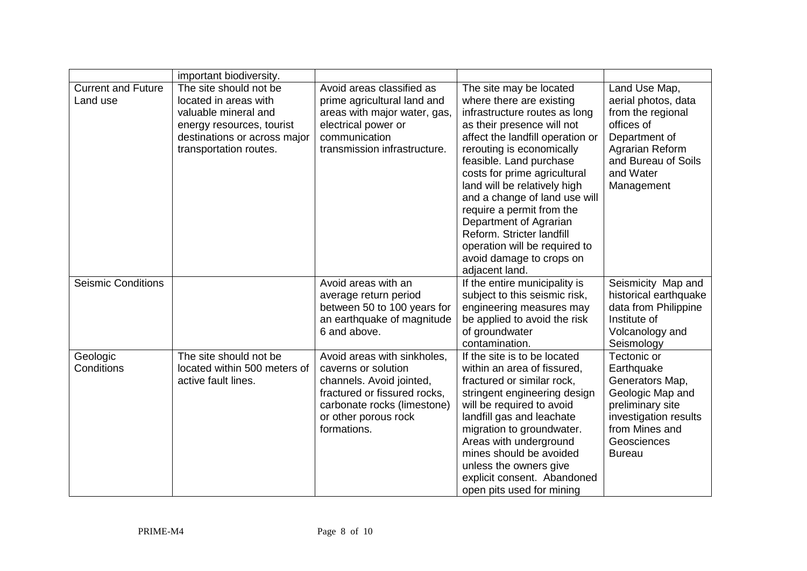|                                       | important biodiversity.                                                                                                                                        |                                                                                                                                                                                      |                                                                                                                                                                                                                                                                                                                                                                                                                                                                                    |                                                                                                                                                                 |
|---------------------------------------|----------------------------------------------------------------------------------------------------------------------------------------------------------------|--------------------------------------------------------------------------------------------------------------------------------------------------------------------------------------|------------------------------------------------------------------------------------------------------------------------------------------------------------------------------------------------------------------------------------------------------------------------------------------------------------------------------------------------------------------------------------------------------------------------------------------------------------------------------------|-----------------------------------------------------------------------------------------------------------------------------------------------------------------|
| <b>Current and Future</b><br>Land use | The site should not be<br>located in areas with<br>valuable mineral and<br>energy resources, tourist<br>destinations or across major<br>transportation routes. | Avoid areas classified as<br>prime agricultural land and<br>areas with major water, gas,<br>electrical power or<br>communication<br>transmission infrastructure.                     | The site may be located<br>where there are existing<br>infrastructure routes as long<br>as their presence will not<br>affect the landfill operation or<br>rerouting is economically<br>feasible. Land purchase<br>costs for prime agricultural<br>land will be relatively high<br>and a change of land use will<br>require a permit from the<br>Department of Agrarian<br>Reform. Stricter landfill<br>operation will be required to<br>avoid damage to crops on<br>adjacent land. | Land Use Map,<br>aerial photos, data<br>from the regional<br>offices of<br>Department of<br>Agrarian Reform<br>and Bureau of Soils<br>and Water<br>Management   |
| <b>Seismic Conditions</b>             |                                                                                                                                                                | Avoid areas with an<br>average return period<br>between 50 to 100 years for<br>an earthquake of magnitude<br>6 and above.                                                            | If the entire municipality is<br>subject to this seismic risk,<br>engineering measures may<br>be applied to avoid the risk<br>of groundwater<br>contamination.                                                                                                                                                                                                                                                                                                                     | Seismicity Map and<br>historical earthquake<br>data from Philippine<br>Institute of<br>Volcanology and<br>Seismology                                            |
| Geologic<br>Conditions                | The site should not be<br>located within 500 meters of<br>active fault lines.                                                                                  | Avoid areas with sinkholes,<br>caverns or solution<br>channels. Avoid jointed,<br>fractured or fissured rocks,<br>carbonate rocks (limestone)<br>or other porous rock<br>formations. | If the site is to be located<br>within an area of fissured,<br>fractured or similar rock,<br>stringent engineering design<br>will be required to avoid<br>landfill gas and leachate<br>migration to groundwater.<br>Areas with underground<br>mines should be avoided<br>unless the owners give<br>explicit consent. Abandoned<br>open pits used for mining                                                                                                                        | Tectonic or<br>Earthquake<br>Generators Map,<br>Geologic Map and<br>preliminary site<br>investigation results<br>from Mines and<br>Geosciences<br><b>Bureau</b> |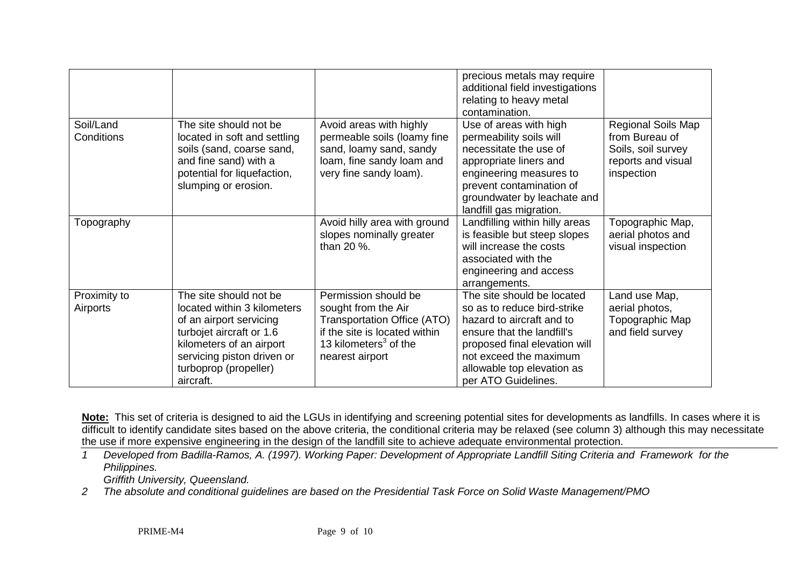|                          |                                                                                                                                                                                                              |                                                                                                                                                                            | precious metals may require<br>additional field investigations<br>relating to heavy metal<br>contamination.                                                                                                                          |                                                                                                |
|--------------------------|--------------------------------------------------------------------------------------------------------------------------------------------------------------------------------------------------------------|----------------------------------------------------------------------------------------------------------------------------------------------------------------------------|--------------------------------------------------------------------------------------------------------------------------------------------------------------------------------------------------------------------------------------|------------------------------------------------------------------------------------------------|
| Soil/Land<br>Conditions  | The site should not be<br>located in soft and settling<br>soils (sand, coarse sand,<br>and fine sand) with a<br>potential for liquefaction,<br>slumping or erosion.                                          | Avoid areas with highly<br>permeable soils (loamy fine<br>sand, loamy sand, sandy<br>loam, fine sandy loam and<br>very fine sandy loam).                                   | Use of areas with high<br>permeability soils will<br>necessitate the use of<br>appropriate liners and<br>engineering measures to<br>prevent contamination of<br>groundwater by leachate and<br>landfill gas migration.               | Regional Soils Map<br>from Bureau of<br>Soils, soil survey<br>reports and visual<br>inspection |
| Topography               |                                                                                                                                                                                                              | Avoid hilly area with ground<br>slopes nominally greater<br>than 20 %.                                                                                                     | Landfilling within hilly areas<br>is feasible but steep slopes<br>will increase the costs<br>associated with the<br>engineering and access<br>arrangements.                                                                          | Topographic Map,<br>aerial photos and<br>visual inspection                                     |
| Proximity to<br>Airports | The site should not be<br>located within 3 kilometers<br>of an airport servicing<br>turbojet aircraft or 1.6<br>kilometers of an airport<br>servicing piston driven or<br>turboprop (propeller)<br>aircraft. | Permission should be<br>sought from the Air<br><b>Transportation Office (ATO)</b><br>if the site is located within<br>13 kilometers <sup>3</sup> of the<br>nearest airport | The site should be located<br>so as to reduce bird-strike<br>hazard to aircraft and to<br>ensure that the landfill's<br>proposed final elevation will<br>not exceed the maximum<br>allowable top elevation as<br>per ATO Guidelines. | Land use Map,<br>aerial photos,<br>Topographic Map<br>and field survey                         |

**Note:** This set of criteria is designed to aid the LGUs in identifying and screening potential sites for developments as landfills. In cases where it is difficult to identify candidate sites based on the above criteria, the conditional criteria may be relaxed (see column 3) although this may necessitate the use if more expensive engineering in the design of the landfill site to achieve adequate environmental protection.

*1 Developed from Badilla-Ramos, A. (1997). Working Paper: Development of Appropriate Landfill Siting Criteria and Framework for the Philippines.*

*Griffith University, Queensland.*

*2 The absolute and conditional guidelines are based on the Presidential Task Force on Solid Waste Management/PMO*